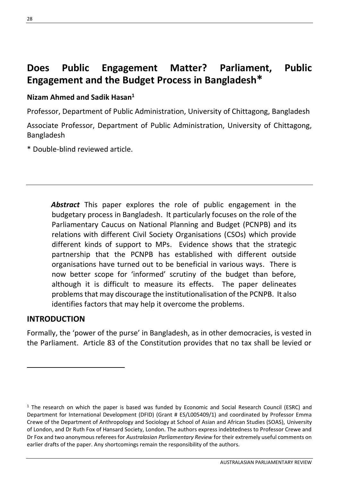# **Does Public Engagement Matter? Parliament, Public Engagement and the Budget Process in Bangladesh\***

#### **Nizam Ahmed and Sadik Hasan<sup>1</sup>**

Professor, Department of Public Administration, University of Chittagong, Bangladesh

Associate Professor, Department of Public Administration, University of Chittagong, Bangladesh

\* Double-blind reviewed article.

*Abstract* This paper explores the role of public engagement in the budgetary process in Bangladesh. It particularly focuses on the role of the Parliamentary Caucus on National Planning and Budget (PCNPB) and its relations with different Civil Society Organisations (CSOs) which provide different kinds of support to MPs. Evidence shows that the strategic partnership that the PCNPB has established with different outside organisations have turned out to be beneficial in various ways. There is now better scope for 'informed' scrutiny of the budget than before, although it is difficult to measure its effects. The paper delineates problems that may discourage the institutionalisation of the PCNPB. It also identifies factors that may help it overcome the problems.

#### **INTRODUCTION**

Formally, the 'power of the purse' in Bangladesh, as in other democracies, is vested in the Parliament. Article 83 of the Constitution provides that no tax shall be levied or

<sup>&</sup>lt;sup>1</sup> The research on which the paper is based was funded by Economic and Social Research Council (ESRC) and Department for International Development (DFID) (Grant # ES/L005409/1) and coordinated by Professor Emma Crewe of the Department of Anthropology and Sociology at School of Asian and African Studies (SOAS), University of London, and Dr Ruth Fox of Hansard Society, London. The authors express indebtedness to Professor Crewe and Dr Fox and two anonymous referees for *Australasian Parliamentary Review* for their extremely useful comments on earlier drafts of the paper. Any shortcomings remain the responsibility of the authors.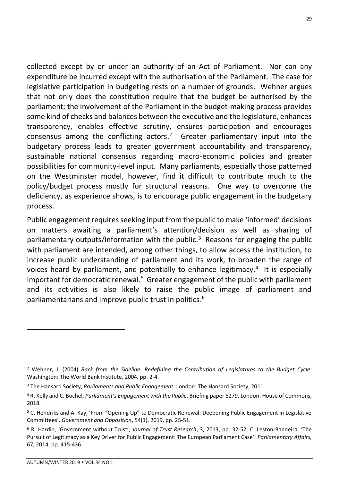collected except by or under an authority of an Act of Parliament. Nor can any expenditure be incurred except with the authorisation of the Parliament. The case for legislative participation in budgeting rests on a number of grounds. Wehner argues that not only does the constitution require that the budget be authorised by the parliament; the involvement of the Parliament in the budget-making process provides some kind of checks and balances between the executive and the legislature, enhances transparency, enables effective scrutiny, ensures participation and encourages consensus among the conflicting actors.<sup>2</sup> Greater parliamentary input into the budgetary process leads to greater government accountability and transparency, sustainable national consensus regarding macro-economic policies and greater possibilities for community-level input. Many parliaments, especially those patterned on the Westminster model, however, find it difficult to contribute much to the policy/budget process mostly for structural reasons. One way to overcome the deficiency, as experience shows, is to encourage public engagement in the budgetary process.

Public engagement requires seeking input from the public to make 'informed' decisions on matters awaiting a parliament's attention/decision as well as sharing of parliamentary outputs/information with the public.<sup>3</sup> Reasons for engaging the public with parliament are intended, among other things, to allow access the institution, to increase public understanding of parliament and its work, to broaden the range of voices heard by parliament, and potentially to enhance legitimacy.<sup>4</sup> It is especially important for democratic renewal.<sup>5</sup> Greater engagement of the public with parliament and its activities is also likely to raise the public image of parliament and parliamentarians and improve public trust in politics. 6

<sup>2</sup> Wehner, J. (2004) *Back from the Sideline: Redefining the Contribution of Legislatures to the Budget Cycle*. Washington: The World Bank Institute, 2004, pp. 2-4.

<sup>3</sup> The Hansard Society, *Parliaments and Public Engagement*. London: The Hansard Society, 2011.

<sup>4</sup> R. Kelly and C. Bochel, *Parliament's Engagement with the Public*. Briefing paper 8279. London: House of Commons, 2018.

<sup>5</sup> C. Hendriks and A. Kay, 'From "Opening Up" to Democratic Renewal: Deepening Public Engagement in Legislative Committees'. *Government and Opposition*, 54(1), 2019, pp. 25-51.

<sup>6</sup> R. Hardin, 'Government without Trust', *Journal of Trust Research*, 3, 2013, pp. 32-52; C. Leston-Bandeira, 'The Pursuit of Legitimacy as a Key Driver for Public Engagement: The European Parliament Case'. *Parliamentary Affairs,*  67, 2014, pp. 415-436.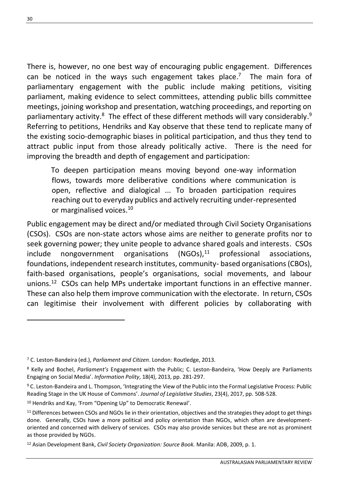There is, however, no one best way of encouraging public engagement. Differences can be noticed in the ways such engagement takes place.<sup>7</sup> The main fora of parliamentary engagement with the public include making petitions, visiting parliament, making evidence to select committees, attending public bills committee meetings, joining workshop and presentation, watching proceedings, and reporting on parliamentary activity.<sup>8</sup> The effect of these different methods will vary considerably.<sup>9</sup> Referring to petitions, Hendriks and Kay observe that these tend to replicate many of the existing socio-demographic biases in political participation, and thus they tend to attract public input from those already politically active. There is the need for improving the breadth and depth of engagement and participation:

To deepen participation means moving beyond one-way information flows, towards more deliberative conditions where communication is open, reflective and dialogical ... To broaden participation requires reaching out to everyday publics and actively recruiting under-represented or marginalised voices.<sup>10</sup>

Public engagement may be direct and/or mediated through Civil Society Organisations (CSOs). CSOs are non-state actors whose aims are neither to generate profits nor to seek governing power; they unite people to advance shared goals and interests. CSOs  $include$  nongovernment organisations  $(NGOs),<sup>11</sup>$  professional associations, foundations, independent research institutes, community- based organisations (CBOs), faith-based organisations, people's organisations, social movements, and labour unions. 12 CSOs can help MPs undertake important functions in an effective manner. These can also help them improve communication with the electorate. In return, CSOs can legitimise their involvement with different policies by collaborating with

<sup>7</sup> C. Leston-Bandeira (ed.), *Parliament and Citizen*. London: Routledge, 2013.

<sup>8</sup> Kelly and Bochel, *Parliament's* Engagement with the Public; C. Leston-Bandeira, 'How Deeply are Parliaments Engaging on Social Media'. *Information Polity*, 18(4), 2013, pp. 281-297.

<sup>9</sup> C. Leston-Bandeira and L. Thompson, 'Integrating the View of the Public into the Formal Legislative Process: Public Reading Stage in the UK House of Commons'. *Journal of Legislative Studies*, 23(4), 2017, pp. 508-528.

<sup>10</sup> Hendriks and Kay, 'From "Opening Up" to Democratic Renewal'.

<sup>11</sup> Differences between CSOs and NGOs lie in their orientation, objectives and the strategies they adopt to get things done. Generally, CSOs have a more political and policy orientation than NGOs, which often are developmentoriented and concerned with delivery of services. CSOs may also provide services but these are not as prominent as those provided by NGOs.

<sup>12</sup> Asian Development Bank, *Civil Society Organization: Source Book.* Manila: ADB, 2009, p. 1.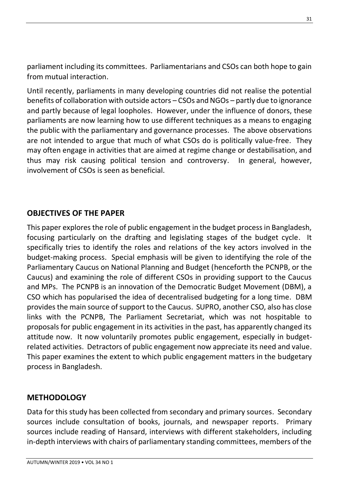parliament including its committees. Parliamentarians and CSOs can both hope to gain from mutual interaction.

Until recently, parliaments in many developing countries did not realise the potential benefits of collaboration with outside actors – CSOs and NGOs – partly due to ignorance and partly because of legal loopholes. However, under the influence of donors, these parliaments are now learning how to use different techniques as a means to engaging the public with the parliamentary and governance processes. The above observations are not intended to argue that much of what CSOs do is politically value-free. They may often engage in activities that are aimed at regime change or destabilisation, and thus may risk causing political tension and controversy. In general, however, involvement of CSOs is seen as beneficial.

### **OBJECTIVES OF THE PAPER**

This paper explores the role of public engagement in the budget process in Bangladesh, focusing particularly on the drafting and legislating stages of the budget cycle. It specifically tries to identify the roles and relations of the key actors involved in the budget-making process. Special emphasis will be given to identifying the role of the Parliamentary Caucus on National Planning and Budget (henceforth the PCNPB, or the Caucus) and examining the role of different CSOs in providing support to the Caucus and MPs. The PCNPB is an innovation of the Democratic Budget Movement (DBM), a CSO which has popularised the idea of decentralised budgeting for a long time. DBM provides the main source of support to the Caucus. SUPRO, another CSO, also has close links with the PCNPB, The Parliament Secretariat, which was not hospitable to proposals for public engagement in its activities in the past, has apparently changed its attitude now. It now voluntarily promotes public engagement, especially in budgetrelated activities. Detractors of public engagement now appreciate its need and value. This paper examines the extent to which public engagement matters in the budgetary process in Bangladesh.

#### **METHODOLOGY**

Data for this study has been collected from secondary and primary sources. Secondary sources include consultation of books, journals, and newspaper reports. Primary sources include reading of Hansard, interviews with different stakeholders, including in-depth interviews with chairs of parliamentary standing committees, members of the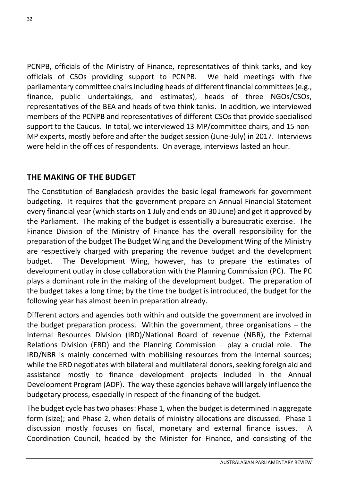PCNPB, officials of the Ministry of Finance, representatives of think tanks, and key officials of CSOs providing support to PCNPB. We held meetings with five parliamentary committee chairs including heads of different financial committees (e.g., finance, public undertakings, and estimates), heads of three NGOs/CSOs, representatives of the BEA and heads of two think tanks. In addition, we interviewed members of the PCNPB and representatives of different CSOs that provide specialised support to the Caucus. In total, we interviewed 13 MP/committee chairs, and 15 non-MP experts, mostly before and after the budget session (June-July) in 2017. Interviews were held in the offices of respondents. On average, interviews lasted an hour.

# **THE MAKING OF THE BUDGET**

The Constitution of Bangladesh provides the basic legal framework for government budgeting. It requires that the government prepare an Annual Financial Statement every financial year (which starts on 1 July and ends on 30 June) and get it approved by the Parliament. The making of the budget is essentially a bureaucratic exercise. The Finance Division of the Ministry of Finance has the overall responsibility for the preparation of the budget The Budget Wing and the Development Wing of the Ministry are respectively charged with preparing the revenue budget and the development budget. The Development Wing, however, has to prepare the estimates of development outlay in close collaboration with the Planning Commission (PC). The PC plays a dominant role in the making of the development budget. The preparation of the budget takes a long time; by the time the budget is introduced, the budget for the following year has almost been in preparation already.

Different actors and agencies both within and outside the government are involved in the budget preparation process. Within the government, three organisations – the Internal Resources Division (IRD)/National Board of revenue (NBR), the External Relations Division (ERD) and the Planning Commission – play a crucial role. The IRD/NBR is mainly concerned with mobilising resources from the internal sources; while the ERD negotiates with bilateral and multilateral donors, seeking foreign aid and assistance mostly to finance development projects included in the Annual Development Program (ADP). The way these agencies behave will largely influence the budgetary process, especially in respect of the financing of the budget.

The budget cycle has two phases: Phase 1, when the budget is determined in aggregate form (size); and Phase 2, when details of ministry allocations are discussed. Phase 1 discussion mostly focuses on fiscal, monetary and external finance issues. A Coordination Council, headed by the Minister for Finance, and consisting of the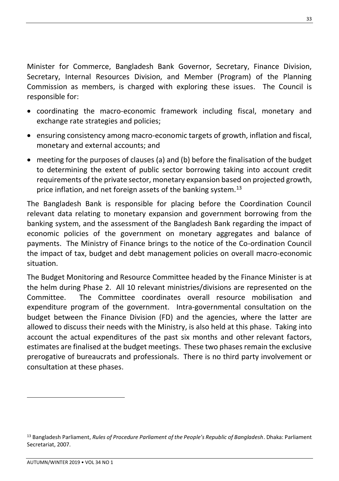Minister for Commerce, Bangladesh Bank Governor, Secretary, Finance Division, Secretary, Internal Resources Division, and Member (Program) of the Planning Commission as members, is charged with exploring these issues. The Council is responsible for:

- coordinating the macro-economic framework including fiscal, monetary and exchange rate strategies and policies;
- ensuring consistency among macro-economic targets of growth, inflation and fiscal, monetary and external accounts; and
- meeting for the purposes of clauses (a) and (b) before the finalisation of the budget to determining the extent of public sector borrowing taking into account credit requirements of the private sector, monetary expansion based on projected growth, price inflation, and net foreign assets of the banking system.<sup>13</sup>

The Bangladesh Bank is responsible for placing before the Coordination Council relevant data relating to monetary expansion and government borrowing from the banking system, and the assessment of the Bangladesh Bank regarding the impact of economic policies of the government on monetary aggregates and balance of payments. The Ministry of Finance brings to the notice of the Co-ordination Council the impact of tax, budget and debt management policies on overall macro-economic situation.

The Budget Monitoring and Resource Committee headed by the Finance Minister is at the helm during Phase 2. All 10 relevant ministries/divisions are represented on the Committee. The Committee coordinates overall resource mobilisation and expenditure program of the government. Intra-governmental consultation on the budget between the Finance Division (FD) and the agencies, where the latter are allowed to discuss their needs with the Ministry, is also held at this phase. Taking into account the actual expenditures of the past six months and other relevant factors, estimates are finalised at the budget meetings. These two phases remain the exclusive prerogative of bureaucrats and professionals. There is no third party involvement or consultation at these phases.

<sup>13</sup> Bangladesh Parliament, *Rules of Procedure Parliament of the People's Republic of Bangladesh*. Dhaka: Parliament Secretariat, 2007.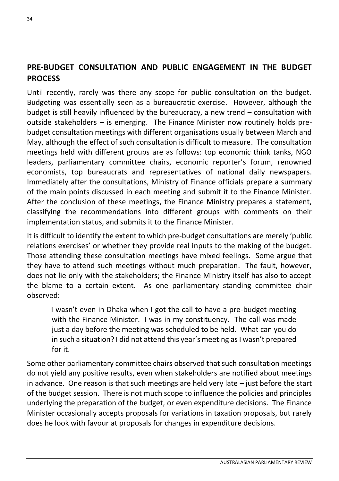# **PRE-BUDGET CONSULTATION AND PUBLIC ENGAGEMENT IN THE BUDGET PROCESS**

Until recently, rarely was there any scope for public consultation on the budget. Budgeting was essentially seen as a bureaucratic exercise. However, although the budget is still heavily influenced by the bureaucracy, a new trend – consultation with outside stakeholders – is emerging. The Finance Minister now routinely holds prebudget consultation meetings with different organisations usually between March and May, although the effect of such consultation is difficult to measure. The consultation meetings held with different groups are as follows: top economic think tanks, NGO leaders, parliamentary committee chairs, economic reporter's forum, renowned economists, top bureaucrats and representatives of national daily newspapers. Immediately after the consultations, Ministry of Finance officials prepare a summary of the main points discussed in each meeting and submit it to the Finance Minister. After the conclusion of these meetings, the Finance Ministry prepares a statement, classifying the recommendations into different groups with comments on their implementation status, and submits it to the Finance Minister.

It is difficult to identify the extent to which pre-budget consultations are merely 'public relations exercises' or whether they provide real inputs to the making of the budget. Those attending these consultation meetings have mixed feelings. Some argue that they have to attend such meetings without much preparation. The fault, however, does not lie only with the stakeholders; the Finance Ministry itself has also to accept the blame to a certain extent. As one parliamentary standing committee chair observed:

I wasn't even in Dhaka when I got the call to have a pre-budget meeting with the Finance Minister. I was in my constituency. The call was made just a day before the meeting was scheduled to be held. What can you do in such a situation? I did not attend this year's meeting as I wasn't prepared for it.

Some other parliamentary committee chairs observed that such consultation meetings do not yield any positive results, even when stakeholders are notified about meetings in advance. One reason is that such meetings are held very late – just before the start of the budget session. There is not much scope to influence the policies and principles underlying the preparation of the budget, or even expenditure decisions. The Finance Minister occasionally accepts proposals for variations in taxation proposals, but rarely does he look with favour at proposals for changes in expenditure decisions.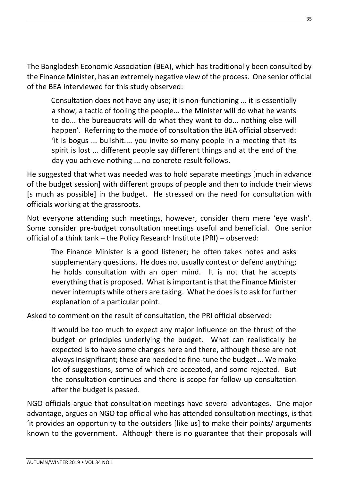The Bangladesh Economic Association (BEA), which has traditionally been consulted by the Finance Minister, has an extremely negative view of the process. One senior official of the BEA interviewed for this study observed:

Consultation does not have any use; it is non-functioning ... it is essentially a show, a tactic of fooling the people... the Minister will do what he wants to do... the bureaucrats will do what they want to do... nothing else will happen'. Referring to the mode of consultation the BEA official observed: 'it is bogus ... bullshit.... you invite so many people in a meeting that its spirit is lost ... different people say different things and at the end of the day you achieve nothing ... no concrete result follows.

He suggested that what was needed was to hold separate meetings [much in advance of the budget session] with different groups of people and then to include their views [s much as possible] in the budget. He stressed on the need for consultation with officials working at the grassroots.

Not everyone attending such meetings, however, consider them mere 'eye wash'. Some consider pre-budget consultation meetings useful and beneficial. One senior official of a think tank – the Policy Research Institute (PRI) – observed:

The Finance Minister is a good listener; he often takes notes and asks supplementary questions. He does not usually contest or defend anything; he holds consultation with an open mind. It is not that he accepts everything that is proposed. What is important is that the Finance Minister never interrupts while others are taking. What he does is to ask for further explanation of a particular point.

Asked to comment on the result of consultation, the PRI official observed:

It would be too much to expect any major influence on the thrust of the budget or principles underlying the budget. What can realistically be expected is to have some changes here and there, although these are not always insignificant; these are needed to fine-tune the budget … We make lot of suggestions, some of which are accepted, and some rejected. But the consultation continues and there is scope for follow up consultation after the budget is passed.

NGO officials argue that consultation meetings have several advantages. One major advantage, argues an NGO top official who has attended consultation meetings, is that 'it provides an opportunity to the outsiders [like us] to make their points/ arguments known to the government. Although there is no guarantee that their proposals will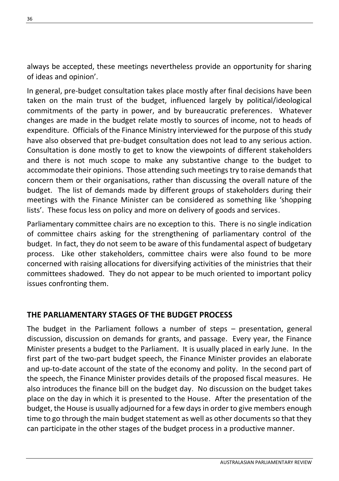always be accepted, these meetings nevertheless provide an opportunity for sharing of ideas and opinion'.

In general, pre-budget consultation takes place mostly after final decisions have been taken on the main trust of the budget, influenced largely by political/ideological commitments of the party in power, and by bureaucratic preferences. Whatever changes are made in the budget relate mostly to sources of income, not to heads of expenditure. Officials of the Finance Ministry interviewed for the purpose of this study have also observed that pre-budget consultation does not lead to any serious action. Consultation is done mostly to get to know the viewpoints of different stakeholders and there is not much scope to make any substantive change to the budget to accommodate their opinions. Those attending such meetings try to raise demands that concern them or their organisations, rather than discussing the overall nature of the budget. The list of demands made by different groups of stakeholders during their meetings with the Finance Minister can be considered as something like 'shopping lists'. These focus less on policy and more on delivery of goods and services.

Parliamentary committee chairs are no exception to this. There is no single indication of committee chairs asking for the strengthening of parliamentary control of the budget. In fact, they do not seem to be aware of this fundamental aspect of budgetary process. Like other stakeholders, committee chairs were also found to be more concerned with raising allocations for diversifying activities of the ministries that their committees shadowed. They do not appear to be much oriented to important policy issues confronting them.

# **THE PARLIAMENTARY STAGES OF THE BUDGET PROCESS**

The budget in the Parliament follows a number of steps – presentation, general discussion, discussion on demands for grants, and passage. Every year, the Finance Minister presents a budget to the Parliament. It is usually placed in early June. In the first part of the two-part budget speech, the Finance Minister provides an elaborate and up-to-date account of the state of the economy and polity. In the second part of the speech, the Finance Minister provides details of the proposed fiscal measures. He also introduces the finance bill on the budget day. No discussion on the budget takes place on the day in which it is presented to the House. After the presentation of the budget, the House is usually adjourned for a few days in order to give members enough time to go through the main budget statement as well as other documents so that they can participate in the other stages of the budget process in a productive manner.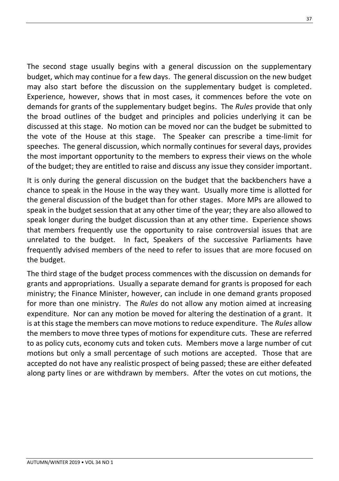The second stage usually begins with a general discussion on the supplementary budget, which may continue for a few days. The general discussion on the new budget may also start before the discussion on the supplementary budget is completed. Experience, however, shows that in most cases, it commences before the vote on demands for grants of the supplementary budget begins. The *Rules* provide that only the broad outlines of the budget and principles and policies underlying it can be discussed at this stage. No motion can be moved nor can the budget be submitted to the vote of the House at this stage. The Speaker can prescribe a time-limit for speeches. The general discussion, which normally continues for several days, provides the most important opportunity to the members to express their views on the whole of the budget; they are entitled to raise and discuss any issue they consider important.

It is only during the general discussion on the budget that the backbenchers have a chance to speak in the House in the way they want. Usually more time is allotted for the general discussion of the budget than for other stages. More MPs are allowed to speak in the budget session that at any other time of the year; they are also allowed to speak longer during the budget discussion than at any other time. Experience shows that members frequently use the opportunity to raise controversial issues that are unrelated to the budget. In fact, Speakers of the successive Parliaments have frequently advised members of the need to refer to issues that are more focused on the budget.

The third stage of the budget process commences with the discussion on demands for grants and appropriations. Usually a separate demand for grants is proposed for each ministry; the Finance Minister, however, can include in one demand grants proposed for more than one ministry. The *Rules* do not allow any motion aimed at increasing expenditure. Nor can any motion be moved for altering the destination of a grant. It is at this stage the members can move motions to reduce expenditure. The *Rules* allow the members to move three types of motions for expenditure cuts. These are referred to as policy cuts, economy cuts and token cuts. Members move a large number of cut motions but only a small percentage of such motions are accepted. Those that are accepted do not have any realistic prospect of being passed; these are either defeated along party lines or are withdrawn by members. After the votes on cut motions, the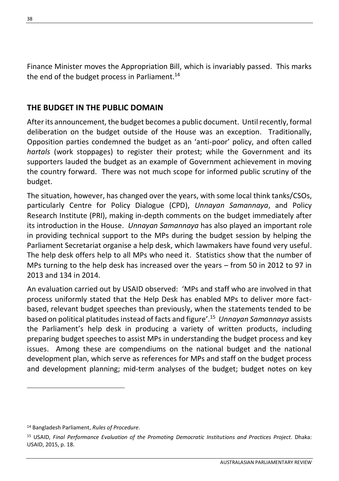Finance Minister moves the Appropriation Bill, which is invariably passed. This marks the end of the budget process in Parliament.<sup>14</sup>

#### **THE BUDGET IN THE PUBLIC DOMAIN**

After its announcement, the budget becomes a public document. Until recently, formal deliberation on the budget outside of the House was an exception. Traditionally, Opposition parties condemned the budget as an 'anti-poor' policy, and often called *hartals* (work stoppages) to register their protest; while the Government and its supporters lauded the budget as an example of Government achievement in moving the country forward. There was not much scope for informed public scrutiny of the budget.

The situation, however, has changed over the years, with some local think tanks/CSOs, particularly Centre for Policy Dialogue (CPD), *Unnayan Samannaya*, and Policy Research Institute (PRI), making in-depth comments on the budget immediately after its introduction in the House. *Unnayan Samannaya* has also played an important role in providing technical support to the MPs during the budget session by helping the Parliament Secretariat organise a help desk, which lawmakers have found very useful. The help desk offers help to all MPs who need it. Statistics show that the number of MPs turning to the help desk has increased over the years – from 50 in 2012 to 97 in 2013 and 134 in 2014.

An evaluation carried out by USAID observed: 'MPs and staff who are involved in that process uniformly stated that the Help Desk has enabled MPs to deliver more factbased, relevant budget speeches than previously, when the statements tended to be based on political platitudes instead of facts and figure'.<sup>15</sup> *Unnayan Samannaya* assists the Parliament's help desk in producing a variety of written products, including preparing budget speeches to assist MPs in understanding the budget process and key issues. Among these are compendiums on the national budget and the national development plan, which serve as references for MPs and staff on the budget process and development planning; mid-term analyses of the budget; budget notes on key

<sup>14</sup> Bangladesh Parliament, *Rules of Procedure*.

<sup>15</sup> USAID, *Final Performance Evaluation of the Promoting Democratic Institutions and Practices Project*. Dhaka: USAID, 2015, p. 18.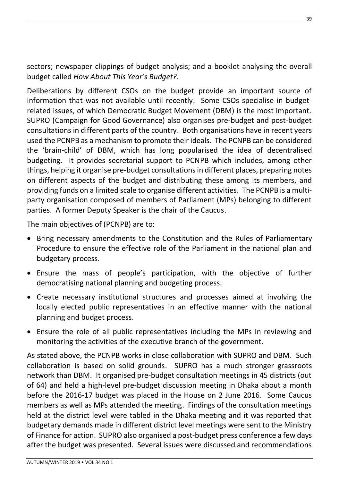sectors; newspaper clippings of budget analysis; and a booklet analysing the overall budget called *How About This Year's Budget?*.

Deliberations by different CSOs on the budget provide an important source of information that was not available until recently. Some CSOs specialise in budgetrelated issues, of which Democratic Budget Movement (DBM) is the most important. SUPRO (Campaign for Good Governance) also organises pre-budget and post-budget consultations in different parts of the country. Both organisations have in recent years used the PCNPB as a mechanism to promote their ideals. The PCNPB can be considered the 'brain-child' of DBM, which has long popularised the idea of decentralised budgeting. It provides secretarial support to PCNPB which includes, among other things, helping it organise pre-budget consultations in different places, preparing notes on different aspects of the budget and distributing these among its members, and providing funds on a limited scale to organise different activities. The PCNPB is a multiparty organisation composed of members of Parliament (MPs) belonging to different parties. A former Deputy Speaker is the chair of the Caucus.

The main objectives of (PCNPB) are to:

- Bring necessary amendments to the Constitution and the Rules of Parliamentary Procedure to ensure the effective role of the Parliament in the national plan and budgetary process.
- Ensure the mass of people's participation, with the objective of further democratising national planning and budgeting process.
- Create necessary institutional structures and processes aimed at involving the locally elected public representatives in an effective manner with the national planning and budget process.
- Ensure the role of all public representatives including the MPs in reviewing and monitoring the activities of the executive branch of the government.

As stated above, the PCNPB works in close collaboration with SUPRO and DBM. Such collaboration is based on solid grounds. SUPRO has a much stronger grassroots network than DBM. It organised pre-budget consultation meetings in 45 districts (out of 64) and held a high-level pre-budget discussion meeting in Dhaka about a month before the 2016-17 budget was placed in the House on 2 June 2016. Some Caucus members as well as MPs attended the meeting. Findings of the consultation meetings held at the district level were tabled in the Dhaka meeting and it was reported that budgetary demands made in different district level meetings were sent to the Ministry of Finance for action. SUPRO also organised a post-budget press conference a few days after the budget was presented. Several issues were discussed and recommendations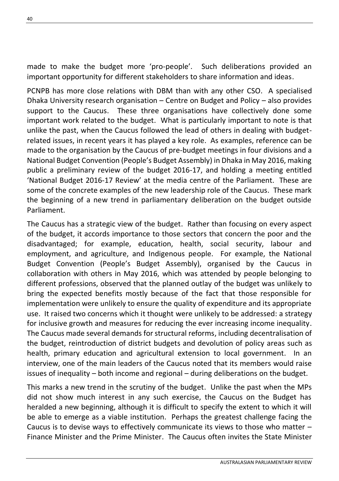made to make the budget more 'pro-people'. Such deliberations provided an important opportunity for different stakeholders to share information and ideas.

PCNPB has more close relations with DBM than with any other CSO. A specialised Dhaka University research organisation – Centre on Budget and Policy – also provides support to the Caucus. These three organisations have collectively done some important work related to the budget. What is particularly important to note is that unlike the past, when the Caucus followed the lead of others in dealing with budgetrelated issues, in recent years it has played a key role. As examples, reference can be made to the organisation by the Caucus of pre-budget meetings in four divisions and a National Budget Convention (People's Budget Assembly) in Dhaka in May 2016, making public a preliminary review of the budget 2016-17, and holding a meeting entitled 'National Budget 2016-17 Review' at the media centre of the Parliament. These are some of the concrete examples of the new leadership role of the Caucus. These mark the beginning of a new trend in parliamentary deliberation on the budget outside Parliament.

The Caucus has a strategic view of the budget. Rather than focusing on every aspect of the budget, it accords importance to those sectors that concern the poor and the disadvantaged; for example, education, health, social security, labour and employment, and agriculture, and Indigenous people. For example, the National Budget Convention (People's Budget Assembly), organised by the Caucus in collaboration with others in May 2016, which was attended by people belonging to different professions, observed that the planned outlay of the budget was unlikely to bring the expected benefits mostly because of the fact that those responsible for implementation were unlikely to ensure the quality of expenditure and its appropriate use. It raised two concerns which it thought were unlikely to be addressed: a strategy for inclusive growth and measures for reducing the ever increasing income inequality. The Caucus made several demands for structural reforms, including decentralisation of the budget, reintroduction of district budgets and devolution of policy areas such as health, primary education and agricultural extension to local government. In an interview, one of the main leaders of the Caucus noted that its members would raise issues of inequality – both income and regional – during deliberations on the budget.

This marks a new trend in the scrutiny of the budget. Unlike the past when the MPs did not show much interest in any such exercise, the Caucus on the Budget has heralded a new beginning, although it is difficult to specify the extent to which it will be able to emerge as a viable institution. Perhaps the greatest challenge facing the Caucus is to devise ways to effectively communicate its views to those who matter – Finance Minister and the Prime Minister. The Caucus often invites the State Minister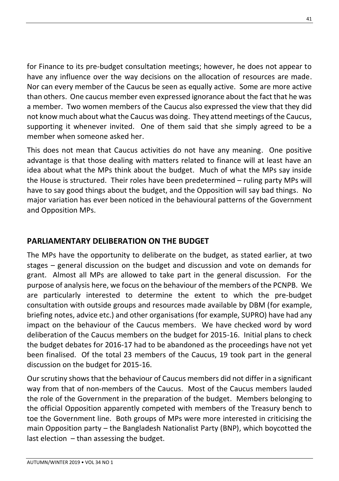for Finance to its pre-budget consultation meetings; however, he does not appear to have any influence over the way decisions on the allocation of resources are made. Nor can every member of the Caucus be seen as equally active. Some are more active than others. One caucus member even expressed ignorance about the fact that he was a member. Two women members of the Caucus also expressed the view that they did not know much about what the Caucus was doing. They attend meetings of the Caucus, supporting it whenever invited. One of them said that she simply agreed to be a member when someone asked her.

This does not mean that Caucus activities do not have any meaning. One positive advantage is that those dealing with matters related to finance will at least have an idea about what the MPs think about the budget. Much of what the MPs say inside the House is structured. Their roles have been predetermined – ruling party MPs will have to say good things about the budget, and the Opposition will say bad things. No major variation has ever been noticed in the behavioural patterns of the Government and Opposition MPs.

# **PARLIAMENTARY DELIBERATION ON THE BUDGET**

The MPs have the opportunity to deliberate on the budget, as stated earlier, at two stages – general discussion on the budget and discussion and vote on demands for grant. Almost all MPs are allowed to take part in the general discussion. For the purpose of analysis here, we focus on the behaviour of the members of the PCNPB. We are particularly interested to determine the extent to which the pre-budget consultation with outside groups and resources made available by DBM (for example, briefing notes, advice etc.) and other organisations (for example, SUPRO) have had any impact on the behaviour of the Caucus members. We have checked word by word deliberation of the Caucus members on the budget for 2015-16. Initial plans to check the budget debates for 2016-17 had to be abandoned as the proceedings have not yet been finalised. Of the total 23 members of the Caucus, 19 took part in the general discussion on the budget for 2015-16.

Our scrutiny shows that the behaviour of Caucus members did not differ in a significant way from that of non-members of the Caucus. Most of the Caucus members lauded the role of the Government in the preparation of the budget. Members belonging to the official Opposition apparently competed with members of the Treasury bench to toe the Government line. Both groups of MPs were more interested in criticising the main Opposition party – the Bangladesh Nationalist Party (BNP), which boycotted the last election – than assessing the budget.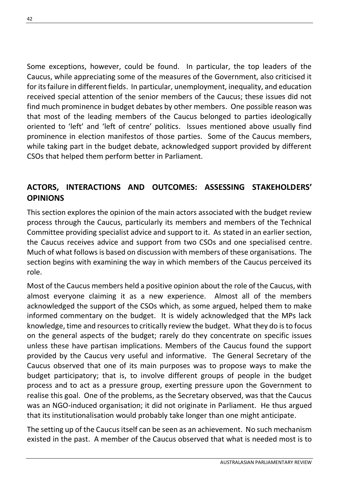Some exceptions, however, could be found. In particular, the top leaders of the Caucus, while appreciating some of the measures of the Government, also criticised it for its failure in different fields. In particular, unemployment, inequality, and education received special attention of the senior members of the Caucus; these issues did not find much prominence in budget debates by other members. One possible reason was that most of the leading members of the Caucus belonged to parties ideologically oriented to 'left' and 'left of centre' politics. Issues mentioned above usually find prominence in election manifestos of those parties. Some of the Caucus members, while taking part in the budget debate, acknowledged support provided by different CSOs that helped them perform better in Parliament.

# **ACTORS, INTERACTIONS AND OUTCOMES: ASSESSING STAKEHOLDERS' OPINIONS**

This section explores the opinion of the main actors associated with the budget review process through the Caucus, particularly its members and members of the Technical Committee providing specialist advice and support to it. As stated in an earlier section, the Caucus receives advice and support from two CSOs and one specialised centre. Much of what follows is based on discussion with members of these organisations. The section begins with examining the way in which members of the Caucus perceived its role.

Most of the Caucus members held a positive opinion about the role of the Caucus, with almost everyone claiming it as a new experience. Almost all of the members acknowledged the support of the CSOs which, as some argued, helped them to make informed commentary on the budget. It is widely acknowledged that the MPs lack knowledge, time and resources to critically review the budget. What they do is to focus on the general aspects of the budget; rarely do they concentrate on specific issues unless these have partisan implications. Members of the Caucus found the support provided by the Caucus very useful and informative. The General Secretary of the Caucus observed that one of its main purposes was to propose ways to make the budget participatory; that is, to involve different groups of people in the budget process and to act as a pressure group, exerting pressure upon the Government to realise this goal. One of the problems, as the Secretary observed, was that the Caucus was an NGO-induced organisation; it did not originate in Parliament. He thus argued that its institutionalisation would probably take longer than one might anticipate.

The setting up of the Caucus itself can be seen as an achievement. No such mechanism existed in the past. A member of the Caucus observed that what is needed most is to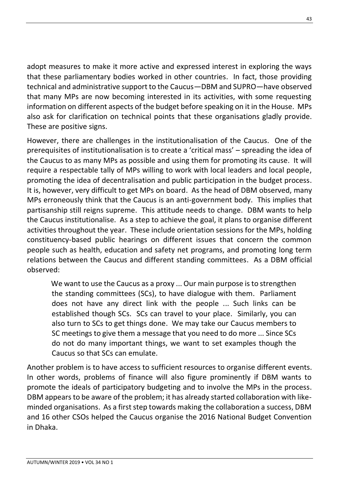adopt measures to make it more active and expressed interest in exploring the ways that these parliamentary bodies worked in other countries. In fact, those providing technical and administrative support to the Caucus—DBM and SUPRO—have observed that many MPs are now becoming interested in its activities, with some requesting information on different aspects of the budget before speaking on it in the House. MPs also ask for clarification on technical points that these organisations gladly provide. These are positive signs.

However, there are challenges in the institutionalisation of the Caucus. One of the prerequisites of institutionalisation is to create a 'critical mass' – spreading the idea of the Caucus to as many MPs as possible and using them for promoting its cause. It will require a respectable tally of MPs willing to work with local leaders and local people, promoting the idea of decentralisation and public participation in the budget process. It is, however, very difficult to get MPs on board. As the head of DBM observed, many MPs erroneously think that the Caucus is an anti-government body. This implies that partisanship still reigns supreme. This attitude needs to change. DBM wants to help the Caucus institutionalise. As a step to achieve the goal, it plans to organise different activities throughout the year. These include orientation sessions for the MPs, holding constituency-based public hearings on different issues that concern the common people such as health, education and safety net programs, and promoting long term relations between the Caucus and different standing committees. As a DBM official observed:

We want to use the Caucus as a proxy ... Our main purpose is to strengthen the standing committees (SCs), to have dialogue with them. Parliament does not have any direct link with the people ... Such links can be established though SCs. SCs can travel to your place. Similarly, you can also turn to SCs to get things done. We may take our Caucus members to SC meetings to give them a message that you need to do more ... Since SCs do not do many important things, we want to set examples though the Caucus so that SCs can emulate.

Another problem is to have access to sufficient resources to organise different events. In other words, problems of finance will also figure prominently if DBM wants to promote the ideals of participatory budgeting and to involve the MPs in the process. DBM appears to be aware of the problem; it has already started collaboration with likeminded organisations. As a first step towards making the collaboration a success, DBM and 16 other CSOs helped the Caucus organise the 2016 National Budget Convention in Dhaka.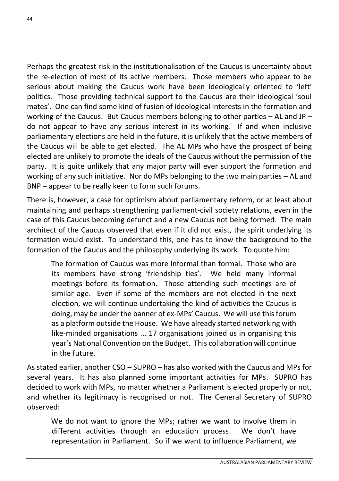Perhaps the greatest risk in the institutionalisation of the Caucus is uncertainty about the re-election of most of its active members. Those members who appear to be serious about making the Caucus work have been ideologically oriented to 'left' politics. Those providing technical support to the Caucus are their ideological 'soul mates'. One can find some kind of fusion of ideological interests in the formation and working of the Caucus. But Caucus members belonging to other parties  $-$  AL and JP  $$ do not appear to have any serious interest in its working. If and when inclusive parliamentary elections are held in the future, it is unlikely that the active members of the Caucus will be able to get elected. The AL MPs who have the prospect of being elected are unlikely to promote the ideals of the Caucus without the permission of the party. It is quite unlikely that any major party will ever support the formation and working of any such initiative. Nor do MPs belonging to the two main parties – AL and BNP – appear to be really keen to form such forums.

There is, however, a case for optimism about parliamentary reform, or at least about maintaining and perhaps strengthening parliament-civil society relations, even in the case of this Caucus becoming defunct and a new Caucus not being formed. The main architect of the Caucus observed that even if it did not exist, the spirit underlying its formation would exist. To understand this, one has to know the background to the formation of the Caucus and the philosophy underlying its work. To quote him:

The formation of Caucus was more informal than formal. Those who are its members have strong 'friendship ties'. We held many informal meetings before its formation. Those attending such meetings are of similar age. Even if some of the members are not elected in the next election, we will continue undertaking the kind of activities the Caucus is doing, may be under the banner of ex-MPs' Caucus. We will use this forum as a platform outside the House. We have already started networking with like-minded organisations ... 17 organisations joined us in organising this year's National Convention on the Budget. This collaboration will continue in the future.

As stated earlier, another CSO – SUPRO – has also worked with the Caucus and MPs for several years. It has also planned some important activities for MPs. SUPRO has decided to work with MPs, no matter whether a Parliament is elected properly or not, and whether its legitimacy is recognised or not. The General Secretary of SUPRO observed:

We do not want to ignore the MPs; rather we want to involve them in different activities through an education process. We don't have representation in Parliament. So if we want to influence Parliament, we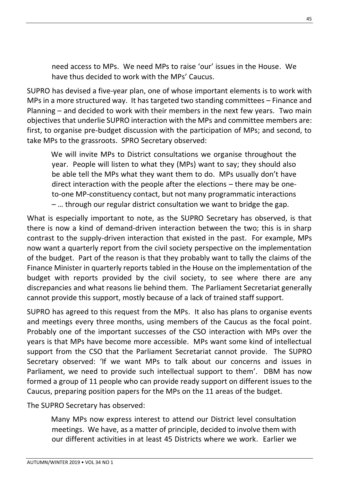need access to MPs. We need MPs to raise 'our' issues in the House. We have thus decided to work with the MPs' Caucus.

SUPRO has devised a five-year plan, one of whose important elements is to work with MPs in a more structured way. It has targeted two standing committees – Finance and Planning – and decided to work with their members in the next few years. Two main objectives that underlie SUPRO interaction with the MPs and committee members are: first, to organise pre-budget discussion with the participation of MPs; and second, to take MPs to the grassroots. SPRO Secretary observed:

We will invite MPs to District consultations we organise throughout the year. People will listen to what they (MPs) want to say; they should also be able tell the MPs what they want them to do. MPs usually don't have direct interaction with the people after the elections – there may be oneto-one MP-constituency contact, but not many programmatic interactions – … through our regular district consultation we want to bridge the gap.

What is especially important to note, as the SUPRO Secretary has observed, is that there is now a kind of demand-driven interaction between the two; this is in sharp contrast to the supply-driven interaction that existed in the past. For example, MPs now want a quarterly report from the civil society perspective on the implementation of the budget. Part of the reason is that they probably want to tally the claims of the Finance Minister in quarterly reports tabled in the House on the implementation of the budget with reports provided by the civil society, to see where there are any discrepancies and what reasons lie behind them. The Parliament Secretariat generally cannot provide this support, mostly because of a lack of trained staff support.

SUPRO has agreed to this request from the MPs. It also has plans to organise events and meetings every three months, using members of the Caucus as the focal point. Probably one of the important successes of the CSO interaction with MPs over the years is that MPs have become more accessible. MPs want some kind of intellectual support from the CSO that the Parliament Secretariat cannot provide. The SUPRO Secretary observed: 'If we want MPs to talk about our concerns and issues in Parliament, we need to provide such intellectual support to them'. DBM has now formed a group of 11 people who can provide ready support on different issues to the Caucus, preparing position papers for the MPs on the 11 areas of the budget.

The SUPRO Secretary has observed:

Many MPs now express interest to attend our District level consultation meetings. We have, as a matter of principle, decided to involve them with our different activities in at least 45 Districts where we work. Earlier we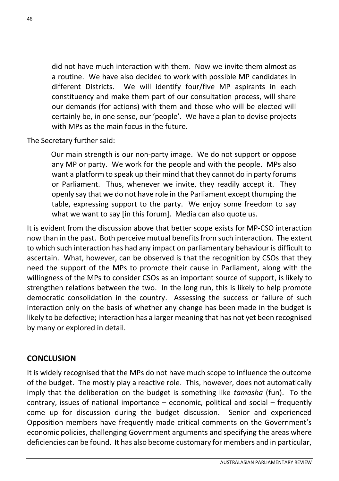did not have much interaction with them. Now we invite them almost as a routine. We have also decided to work with possible MP candidates in different Districts. We will identify four/five MP aspirants in each constituency and make them part of our consultation process, will share our demands (for actions) with them and those who will be elected will certainly be, in one sense, our 'people'. We have a plan to devise projects with MPs as the main focus in the future.

The Secretary further said:

Our main strength is our non-party image. We do not support or oppose any MP or party. We work for the people and with the people. MPs also want a platform to speak up their mind that they cannot do in party forums or Parliament. Thus, whenever we invite, they readily accept it. They openly say that we do not have role in the Parliament except thumping the table, expressing support to the party. We enjoy some freedom to say what we want to say [in this forum]. Media can also quote us.

It is evident from the discussion above that better scope exists for MP-CSO interaction now than in the past. Both perceive mutual benefits from such interaction. The extent to which such interaction has had any impact on parliamentary behaviour is difficult to ascertain. What, however, can be observed is that the recognition by CSOs that they need the support of the MPs to promote their cause in Parliament, along with the willingness of the MPs to consider CSOs as an important source of support, is likely to strengthen relations between the two. In the long run, this is likely to help promote democratic consolidation in the country. Assessing the success or failure of such interaction only on the basis of whether any change has been made in the budget is likely to be defective; interaction has a larger meaning that has not yet been recognised by many or explored in detail.

#### **CONCLUSION**

It is widely recognised that the MPs do not have much scope to influence the outcome of the budget. The mostly play a reactive role. This, however, does not automatically imply that the deliberation on the budget is something like *tamasha* (fun). To the contrary, issues of national importance – economic, political and social – frequently come up for discussion during the budget discussion. Senior and experienced Opposition members have frequently made critical comments on the Government's economic policies, challenging Government arguments and specifying the areas where deficiencies can be found. It has also become customary for members and in particular,